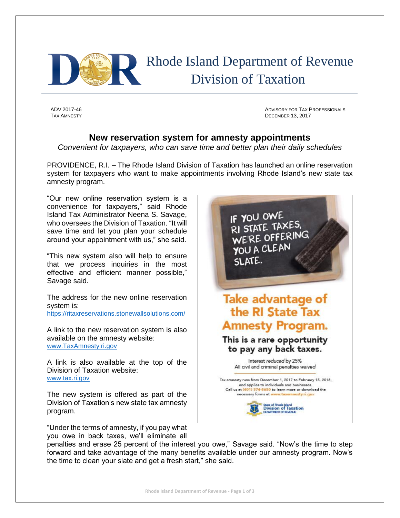

 Rhode Island Department of Revenue Division of Taxation

ADV 2017-46 ADVISORY FOR TAX PROFESSIONALS TAX AMNESTY **DECEMBER 13, 2017** 

## **New reservation system for amnesty appointments**

*Convenient for taxpayers, who can save time and better plan their daily schedules*

PROVIDENCE, R.I. – The Rhode Island Division of Taxation has launched an online reservation system for taxpayers who want to make appointments involving Rhode Island's new state tax amnesty program.

"Our new online reservation system is a convenience for taxpayers," said Rhode Island Tax Administrator Neena S. Savage, who oversees the Division of Taxation. "It will save time and let you plan your schedule around your appointment with us," she said.

"This new system also will help to ensure that we process inquiries in the most effective and efficient manner possible," Savage said.

The address for the new online reservation system is:

<https://ritaxreservations.stonewallsolutions.com/>

A link to the new reservation system is also available on the amnesty website: [www.TaxAmnesty.ri.gov](http://www.taxamnesty.ri.gov/)

A link is also available at the top of the Division of Taxation website: [www.tax.ri.gov](http://www.tax.ri.gov/)

The new system is offered as part of the Division of Taxation's new state tax amnesty program.

"Under the terms of amnesty, if you pay what you owe in back taxes, we'll eliminate all



penalties and erase 25 percent of the interest you owe," Savage said. "Now's the time to step forward and take advantage of the many benefits available under our amnesty program. Now's the time to clean your slate and get a fresh start," she said.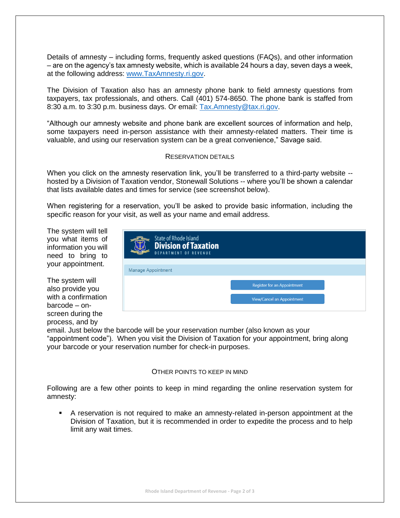Details of amnesty – including forms, frequently asked questions (FAQs), and other information – are on the agency's tax amnesty website, which is available 24 hours a day, seven days a week, at the following address: [www.TaxAmnesty.ri.gov.](http://www.taxamnesty.ri.gov/)

The Division of Taxation also has an amnesty phone bank to field amnesty questions from taxpayers, tax professionals, and others. Call (401) 574-8650. The phone bank is staffed from 8:30 a.m. to 3:30 p.m. business days. Or email: [Tax.Amnesty@tax.ri.gov.](mailto:Tax.Amnesty@tax.ri.gov)

"Although our amnesty website and phone bank are excellent sources of information and help, some taxpayers need in-person assistance with their amnesty-related matters. Their time is valuable, and using our reservation system can be a great convenience," Savage said.

## RESERVATION DETAILS

When you click on the amnesty reservation link, you'll be transferred to a third-party website -hosted by a Division of Taxation vendor, Stonewall Solutions -- where you'll be shown a calendar that lists available dates and times for service (see screenshot below).

When registering for a reservation, you'll be asked to provide basic information, including the specific reason for your visit, as well as your name and email address.

The system will tell you what items of information you will need to bring to your appointment.

The system will also provide you with a confirmation barcode – onscreen during the process, and by

| <b>State of Rhode Island</b><br><b>Division of Taxation</b><br><b>DEPARTMENT OF REVENUE</b> |                             |
|---------------------------------------------------------------------------------------------|-----------------------------|
| Manage Appointment                                                                          |                             |
|                                                                                             | Register for an Appointment |
|                                                                                             | View/Cancel an Appointment  |
|                                                                                             |                             |

email. Just below the barcode will be your reservation number (also known as your "appointment code"). When you visit the Division of Taxation for your appointment, bring along your barcode or your reservation number for check-in purposes.

## OTHER POINTS TO KEEP IN MIND

Following are a few other points to keep in mind regarding the online reservation system for amnesty:

 A reservation is not required to make an amnesty-related in-person appointment at the Division of Taxation, but it is recommended in order to expedite the process and to help limit any wait times.